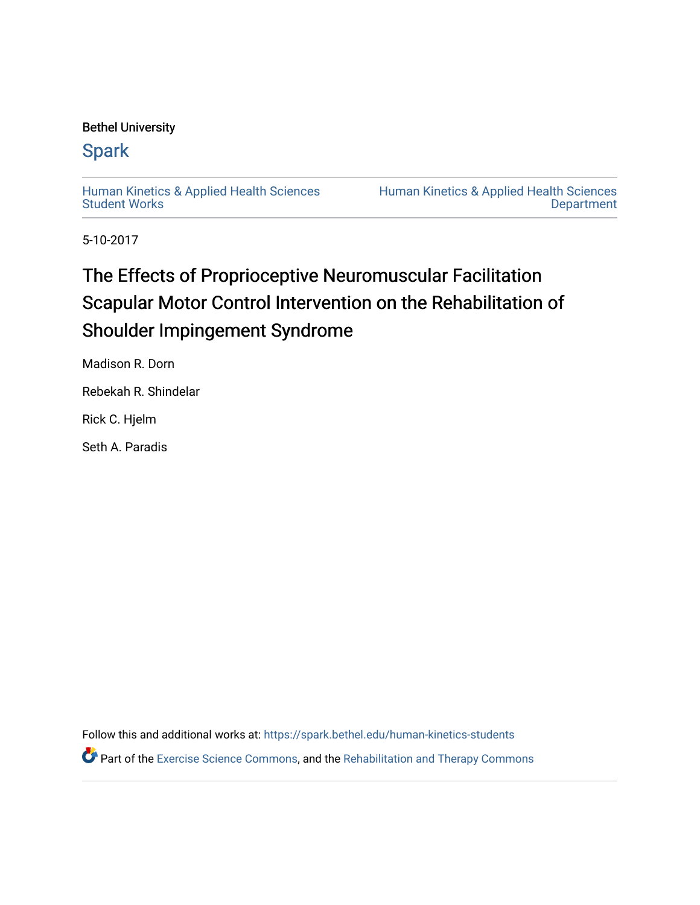## Bethel University

# **Spark**

[Human Kinetics & Applied Health Sciences](https://spark.bethel.edu/human-kinetics-students) [Student Works](https://spark.bethel.edu/human-kinetics-students)

[Human Kinetics & Applied Health Sciences](https://spark.bethel.edu/human-kinetics)  [Department](https://spark.bethel.edu/human-kinetics) 

5-10-2017

# The Effects of Proprioceptive Neuromuscular Facilitation Scapular Motor Control Intervention on the Rehabilitation of Shoulder Impingement Syndrome

Madison R. Dorn

Rebekah R. Shindelar

Rick C. Hjelm

Seth A. Paradis

Follow this and additional works at: [https://spark.bethel.edu/human-kinetics-students](https://spark.bethel.edu/human-kinetics-students?utm_source=spark.bethel.edu%2Fhuman-kinetics-students%2F2&utm_medium=PDF&utm_campaign=PDFCoverPages) 

Part of the [Exercise Science Commons](http://network.bepress.com/hgg/discipline/1091?utm_source=spark.bethel.edu%2Fhuman-kinetics-students%2F2&utm_medium=PDF&utm_campaign=PDFCoverPages), and the [Rehabilitation and Therapy Commons](http://network.bepress.com/hgg/discipline/749?utm_source=spark.bethel.edu%2Fhuman-kinetics-students%2F2&utm_medium=PDF&utm_campaign=PDFCoverPages)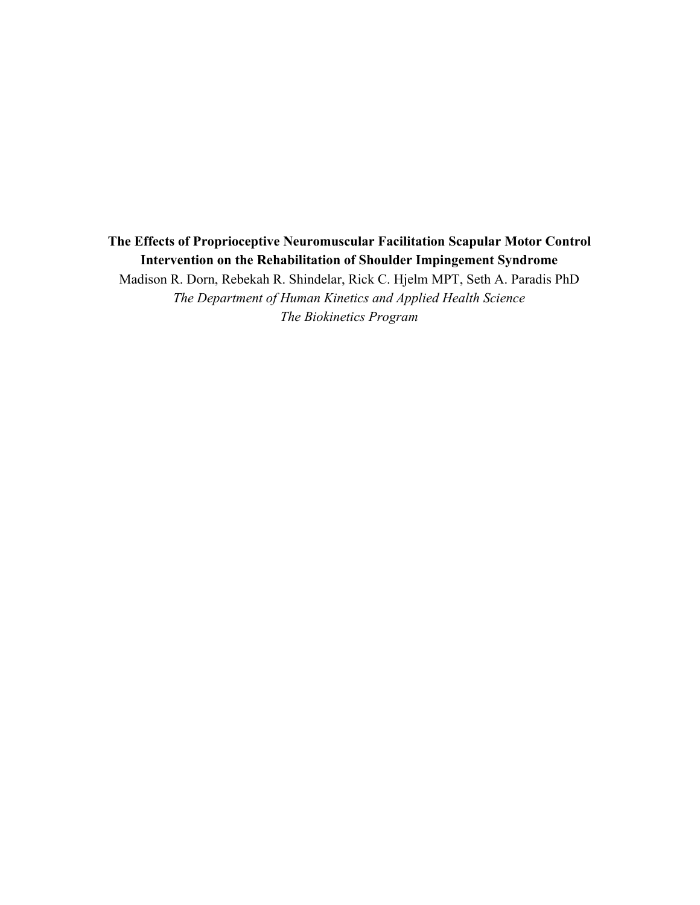# **The Effects of Proprioceptive Neuromuscular Facilitation Scapular Motor Control Intervention on the Rehabilitation of Shoulder Impingement Syndrome**

Madison R. Dorn, Rebekah R. Shindelar, Rick C. Hjelm MPT, Seth A. Paradis PhD *The Department of Human Kinetics and Applied Health Science The Biokinetics Program*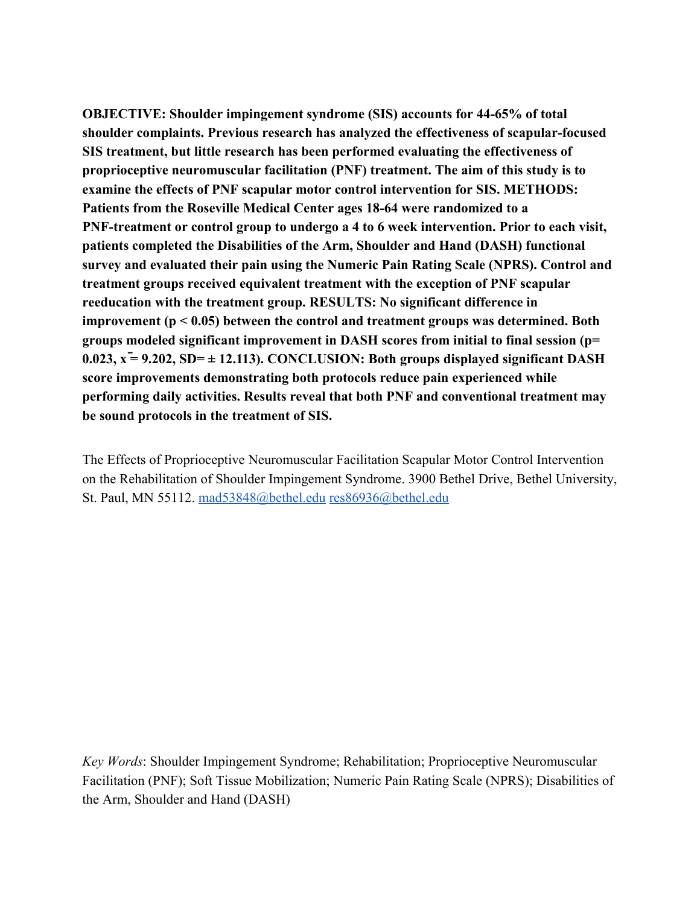**OBJECTIVE: Shoulder impingement syndrome (SIS) accounts for 44-65% of total shoulder complaints. Previous research has analyzed the effectiveness of scapular-focused SIS treatment, but little research has been performed evaluating the effectiveness of proprioceptive neuromuscular facilitation (PNF) treatment. The aim of this study is to examine the effects of PNF scapular motor control intervention for SIS. METHODS: Patients from the Roseville Medical Center ages 18-64 were randomized to a PNF-treatment or control group to undergo a 4 to 6 week intervention. Prior to each visit, patients completed the Disabilities of the Arm, Shoulder and Hand (DASH) functional survey and evaluated their pain using the Numeric Pain Rating Scale (NPRS). Control and treatment groups received equivalent treatment with the exception of PNF scapular reeducation with the treatment group. RESULTS: No significant difference in improvement (p < 0.05) between the control and treatment groups was determined. Both groups modeled significant improvement in DASH scores from initial to final session (p= 0.023, x**̄ **= 9.202, SD= ± 12.113). CONCLUSION: Both groups displayed significant DASH score improvements demonstrating both protocols reduce pain experienced while performing daily activities. Results reveal that both PNF and conventional treatment may be sound protocols in the treatment of SIS.**

The Effects of Proprioceptive Neuromuscular Facilitation Scapular Motor Control Intervention on the Rehabilitation of Shoulder Impingement Syndrome. 3900 Bethel Drive, Bethel University, St. Paul, MN 55112. [mad53848@bethel.edu](mailto:mad53848@bethel.edu) [res86936@bethel.edu](mailto:res86936@bethel.edu)

*Key Words*: Shoulder Impingement Syndrome; Rehabilitation; Proprioceptive Neuromuscular Facilitation (PNF); Soft Tissue Mobilization; Numeric Pain Rating Scale (NPRS); Disabilities of the Arm, Shoulder and Hand (DASH)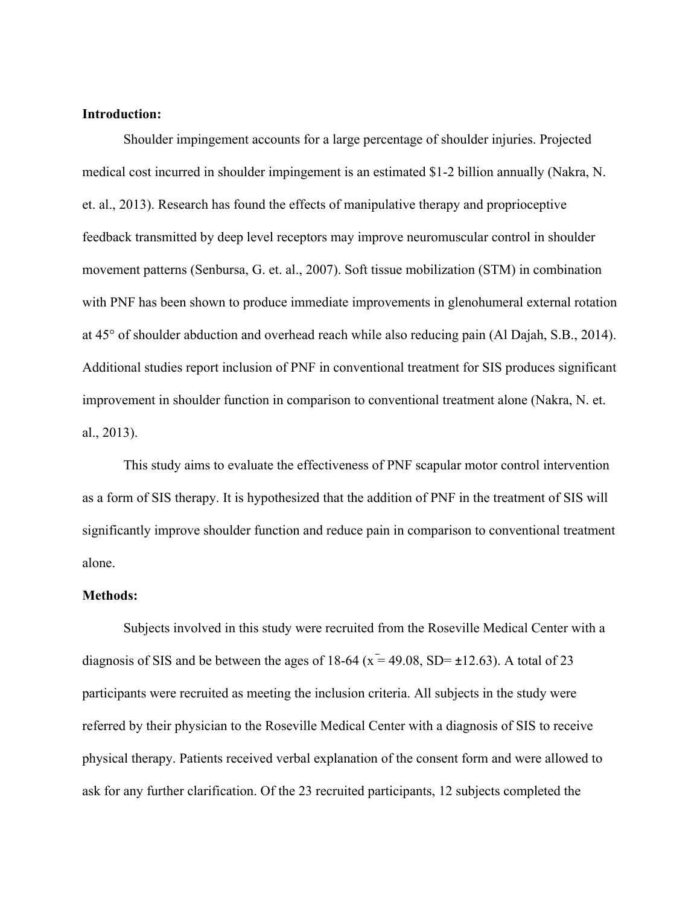## **Introduction:**

Shoulder impingement accounts for a large percentage of shoulder injuries. Projected medical cost incurred in shoulder impingement is an estimated \$1-2 billion annually (Nakra, N. et. al., 2013). Research has found the effects of manipulative therapy and proprioceptive feedback transmitted by deep level receptors may improve neuromuscular control in shoulder movement patterns (Senbursa, G. et. al., 2007). Soft tissue mobilization (STM) in combination with PNF has been shown to produce immediate improvements in glenohumeral external rotation at 45° of shoulder abduction and overhead reach while also reducing pain (Al Dajah, S.B., 2014). Additional studies report inclusion of PNF in conventional treatment for SIS produces significant improvement in shoulder function in comparison to conventional treatment alone (Nakra, N. et. al., 2013).

This study aims to evaluate the effectiveness of PNF scapular motor control intervention as a form of SIS therapy. It is hypothesized that the addition of PNF in the treatment of SIS will significantly improve shoulder function and reduce pain in comparison to conventional treatment alone.

#### **Methods:**

Subjects involved in this study were recruited from the Roseville Medical Center with a diagnosis of SIS and be between the ages of 18-64 ( $\bar{x}$  = 49.08, SD=  $\pm$ 12.63). A total of 23 participants were recruited as meeting the inclusion criteria. All subjects in the study were referred by their physician to the Roseville Medical Center with a diagnosis of SIS to receive physical therapy. Patients received verbal explanation of the consent form and were allowed to ask for any further clarification. Of the 23 recruited participants, 12 subjects completed the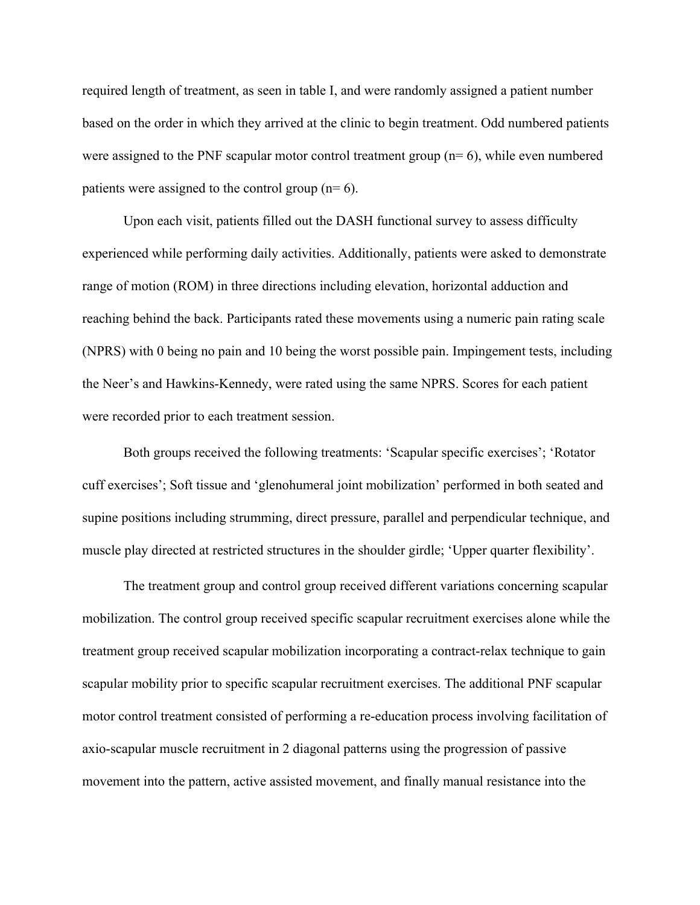required length of treatment, as seen in table I, and were randomly assigned a patient number based on the order in which they arrived at the clinic to begin treatment. Odd numbered patients were assigned to the PNF scapular motor control treatment group ( $n=6$ ), while even numbered patients were assigned to the control group ( $n=6$ ).

Upon each visit, patients filled out the DASH functional survey to assess difficulty experienced while performing daily activities. Additionally, patients were asked to demonstrate range of motion (ROM) in three directions including elevation, horizontal adduction and reaching behind the back. Participants rated these movements using a numeric pain rating scale (NPRS) with 0 being no pain and 10 being the worst possible pain. Impingement tests, including the Neer's and Hawkins-Kennedy, were rated using the same NPRS. Scores for each patient were recorded prior to each treatment session.

Both groups received the following treatments: 'Scapular specific exercises'; 'Rotator cuff exercises'; Soft tissue and 'glenohumeral joint mobilization' performed in both seated and supine positions including strumming, direct pressure, parallel and perpendicular technique, and muscle play directed at restricted structures in the shoulder girdle; 'Upper quarter flexibility'.

The treatment group and control group received different variations concerning scapular mobilization. The control group received specific scapular recruitment exercises alone while the treatment group received scapular mobilization incorporating a contract-relax technique to gain scapular mobility prior to specific scapular recruitment exercises. The additional PNF scapular motor control treatment consisted of performing a re-education process involving facilitation of axio-scapular muscle recruitment in 2 diagonal patterns using the progression of passive movement into the pattern, active assisted movement, and finally manual resistance into the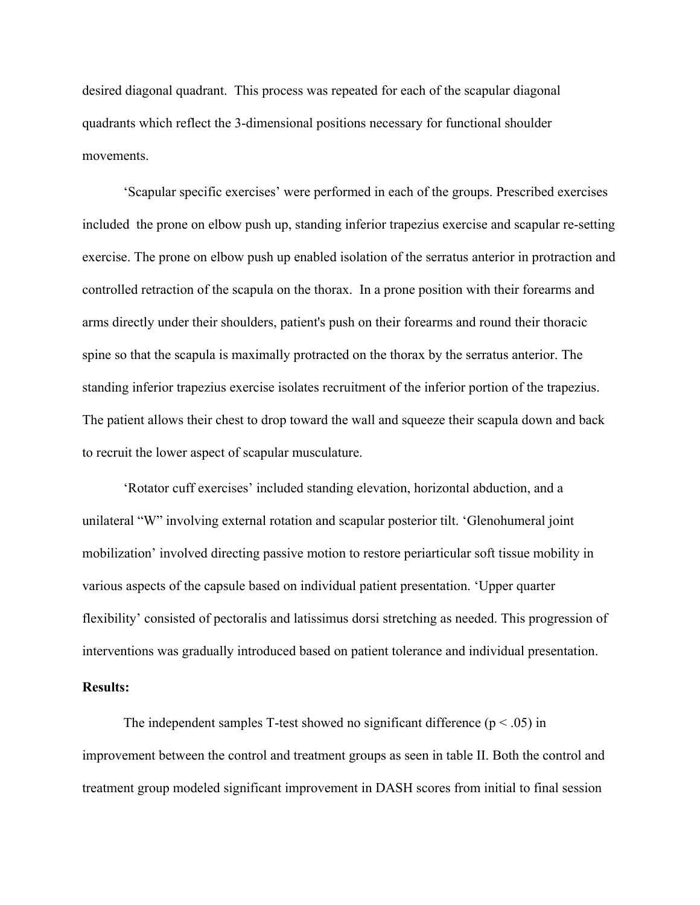desired diagonal quadrant. This process was repeated for each of the scapular diagonal quadrants which reflect the 3-dimensional positions necessary for functional shoulder movements.

'Scapular specific exercises' were performed in each of the groups. Prescribed exercises included the prone on elbow push up, standing inferior trapezius exercise and scapular re-setting exercise. The prone on elbow push up enabled isolation of the serratus anterior in protraction and controlled retraction of the scapula on the thorax. In a prone position with their forearms and arms directly under their shoulders, patient's push on their forearms and round their thoracic spine so that the scapula is maximally protracted on the thorax by the serratus anterior. The standing inferior trapezius exercise isolates recruitment of the inferior portion of the trapezius. The patient allows their chest to drop toward the wall and squeeze their scapula down and back to recruit the lower aspect of scapular musculature.

'Rotator cuff exercises' included standing elevation, horizontal abduction, and a unilateral "W" involving external rotation and scapular posterior tilt. 'Glenohumeral joint mobilization' involved directing passive motion to restore periarticular soft tissue mobility in various aspects of the capsule based on individual patient presentation. 'Upper quarter flexibility' consisted of pectoralis and latissimus dorsi stretching as needed. This progression of interventions was gradually introduced based on patient tolerance and individual presentation.

## **Results:**

The independent samples T-test showed no significant difference  $(p < .05)$  in improvement between the control and treatment groups as seen in table II. Both the control and treatment group modeled significant improvement in DASH scores from initial to final session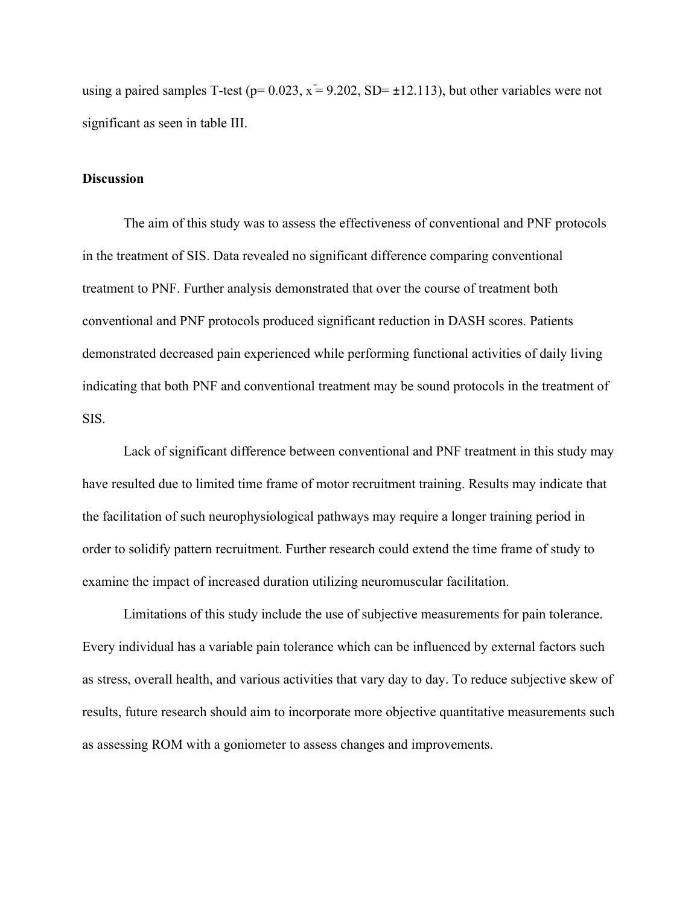using a paired samples T-test ( $p= 0.023$ ,  $x= 9.202$ , SD= $\pm 12.113$ ), but other variables were not significant as seen in table III.

#### **Discussion**

The aim of this study was to assess the effectiveness of conventional and PNF protocols in the treatment of SIS. Data revealed no significant difference comparing conventional treatment to PNF. Further analysis demonstrated that over the course of treatment both conventional and PNF protocols produced significant reduction in DASH scores. Patients demonstrated decreased pain experienced while performing functional activities of daily living indicating that both PNF and conventional treatment may be sound protocols in the treatment of SIS.

Lack of significant difference between conventional and PNF treatment in this study may have resulted due to limited time frame of motor recruitment training. Results may indicate that the facilitation of such neurophysiological pathways may require a longer training period in order to solidify pattern recruitment. Further research could extend the time frame of study to examine the impact of increased duration utilizing neuromuscular facilitation.

Limitations of this study include the use of subjective measurements for pain tolerance. Every individual has a variable pain tolerance which can be influenced by external factors such as stress, overall health, and various activities that vary day to day. To reduce subjective skew of results, future research should aim to incorporate more objective quantitative measurements such as assessing ROM with a goniometer to assess changes and improvements.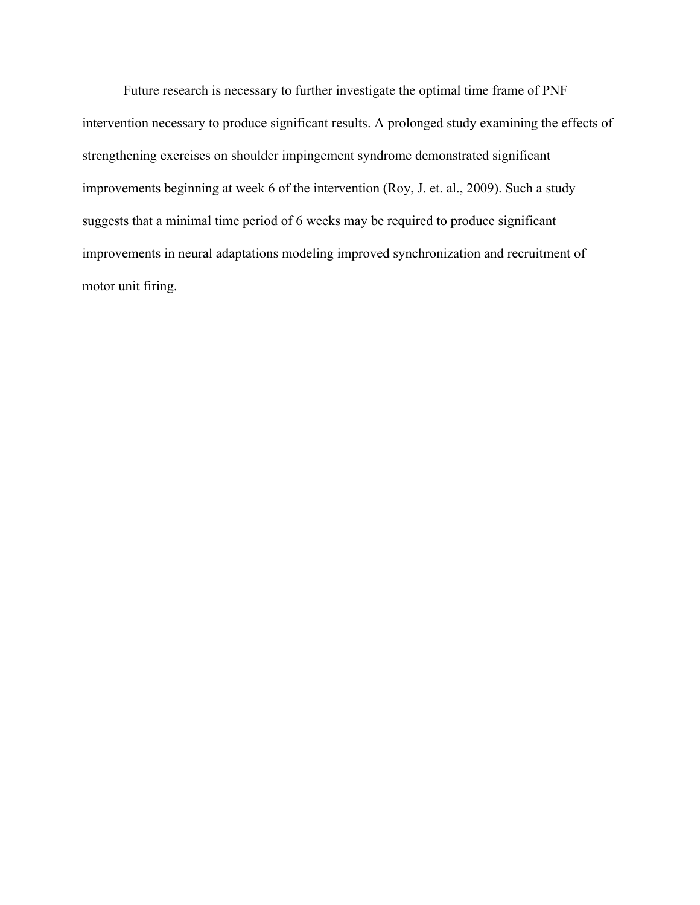Future research is necessary to further investigate the optimal time frame of PNF intervention necessary to produce significant results. A prolonged study examining the effects of strengthening exercises on shoulder impingement syndrome demonstrated significant improvements beginning at week 6 of the intervention (Roy, J. et. al., 2009). Such a study suggests that a minimal time period of 6 weeks may be required to produce significant improvements in neural adaptations modeling improved synchronization and recruitment of motor unit firing.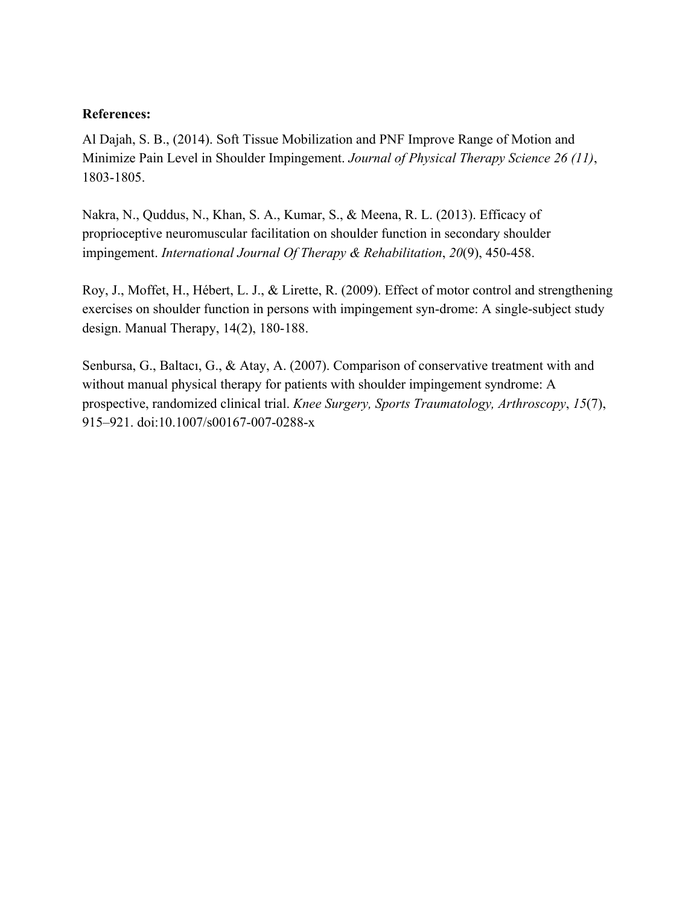## **References:**

Al Dajah, S. B., (2014). Soft Tissue Mobilization and PNF Improve Range of Motion and Minimize Pain Level in Shoulder Impingement. *Journal of Physical Therapy Science 26 (11)*, 1803-1805.

Nakra, N., Quddus, N., Khan, S. A., Kumar, S., & Meena, R. L. (2013). Efficacy of proprioceptive neuromuscular facilitation on shoulder function in secondary shoulder impingement. *International Journal Of Therapy & Rehabilitation*, *20*(9), 450-458.

Roy, J., Moffet, H., Hébert, L. J., & Lirette, R. (2009). Effect of motor control and strengthening exercises on shoulder function in persons with impingement syn-drome: A single-subject study design. Manual Therapy, 14(2), 180-188.

Senbursa, G., Baltacı, G., & Atay, A. (2007). Comparison of conservative treatment with and without manual physical therapy for patients with shoulder impingement syndrome: A prospective, randomized clinical trial. *Knee Surgery, Sports Traumatology, Arthroscopy*, *15*(7), 915–921. doi:10.1007/s00167-007-0288-x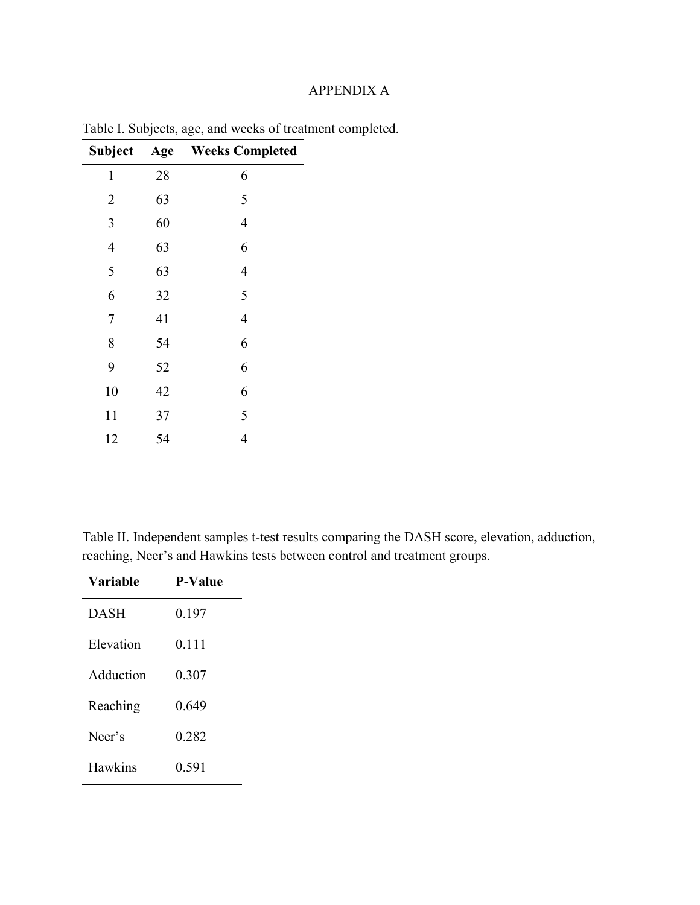# APPENDIX A

| <b>Subject</b> | Age | <b>Weeks Completed</b> |
|----------------|-----|------------------------|
| 1              | 28  | 6                      |
| $\overline{2}$ | 63  | 5                      |
| 3              | 60  | 4                      |
| $\overline{4}$ | 63  | 6                      |
| 5              | 63  | $\overline{4}$         |
| 6              | 32  | 5                      |
| 7              | 41  | 4                      |
| 8              | 54  | 6                      |
| 9              | 52  | 6                      |
| 10             | 42  | 6                      |
| 11             | 37  | 5                      |
| 12             | 54  | 4                      |

Table I. Subjects, age, and weeks of treatment completed.

Table II. Independent samples t-test results comparing the DASH score, elevation, adduction, reaching, Neer's and Hawkins tests between control and treatment groups.

| Variable       | <b>P-Value</b> |
|----------------|----------------|
| <b>DASH</b>    | 0.197          |
| Elevation      | 0 1 1 1        |
| Adduction      | 0.307          |
| Reaching       | 0.649          |
| Neer's         | 0.282          |
| <b>Hawkins</b> | 0.591          |